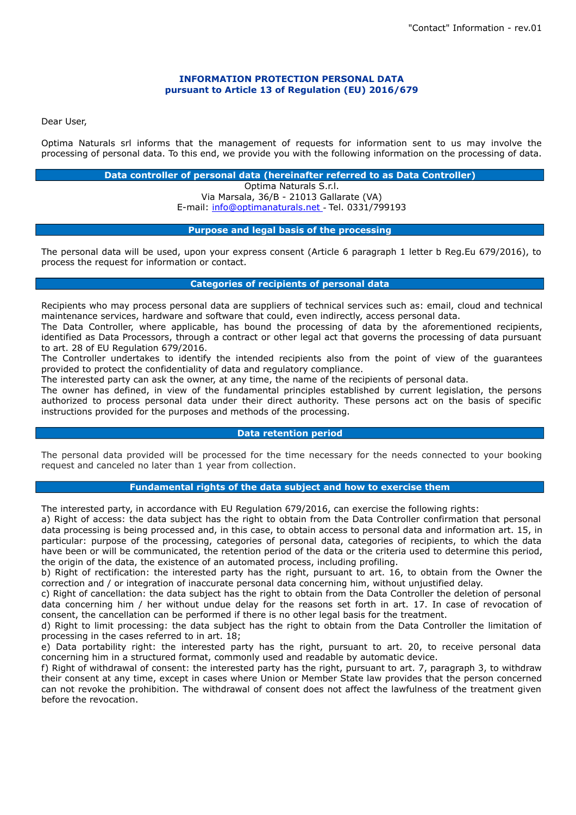## **INFORMATION PROTECTION PERSONAL DATA pursuant to Article 13 of Regulation (EU) 2016/679**

Dear User,

Optima Naturals srl informs that the management of requests for information sent to us may involve the processing of personal data. To this end, we provide you with the following information on the processing of data.

## **Data controller of personal data (hereinafter referred to as Data Controller)**

Optima Naturals S.r.l. Via Marsala, 36/B - 21013 Gallarate (VA) E-mail: [info@optimanaturals.net](mailto:info@xxxxxxxxxxxxxx.com) - Tel. 0331/799193

# **Purpose and legal basis of the processing**

The personal data will be used, upon your express consent (Article 6 paragraph 1 letter b Reg.Eu 679/2016), to process the request for information or contact.

# **Categories of recipients of personal data**

Recipients who may process personal data are suppliers of technical services such as: email, cloud and technical maintenance services, hardware and software that could, even indirectly, access personal data.

The Data Controller, where applicable, has bound the processing of data by the aforementioned recipients, identified as Data Processors, through a contract or other legal act that governs the processing of data pursuant to art. 28 of EU Regulation 679/2016.

The Controller undertakes to identify the intended recipients also from the point of view of the guarantees provided to protect the confidentiality of data and regulatory compliance.

The interested party can ask the owner, at any time, the name of the recipients of personal data.

The owner has defined, in view of the fundamental principles established by current legislation, the persons authorized to process personal data under their direct authority. These persons act on the basis of specific instructions provided for the purposes and methods of the processing.

#### **Data retention period**

The personal data provided will be processed for the time necessary for the needs connected to your booking request and canceled no later than 1 year from collection.

# **Fundamental rights of the data subject and how to exercise them**

The interested party, in accordance with EU Regulation 679/2016, can exercise the following rights:

a) Right of access: the data subject has the right to obtain from the Data Controller confirmation that personal data processing is being processed and, in this case, to obtain access to personal data and information art. 15, in particular: purpose of the processing, categories of personal data, categories of recipients, to which the data have been or will be communicated, the retention period of the data or the criteria used to determine this period, the origin of the data, the existence of an automated process, including profiling.

b) Right of rectification: the interested party has the right, pursuant to art. 16, to obtain from the Owner the correction and / or integration of inaccurate personal data concerning him, without unjustified delay.

c) Right of cancellation: the data subject has the right to obtain from the Data Controller the deletion of personal data concerning him / her without undue delay for the reasons set forth in art. 17. In case of revocation of consent, the cancellation can be performed if there is no other legal basis for the treatment.

d) Right to limit processing: the data subject has the right to obtain from the Data Controller the limitation of processing in the cases referred to in art. 18;

e) Data portability right: the interested party has the right, pursuant to art. 20, to receive personal data concerning him in a structured format, commonly used and readable by automatic device.

f) Right of withdrawal of consent: the interested party has the right, pursuant to art. 7, paragraph 3, to withdraw their consent at any time, except in cases where Union or Member State law provides that the person concerned can not revoke the prohibition. The withdrawal of consent does not affect the lawfulness of the treatment given before the revocation.